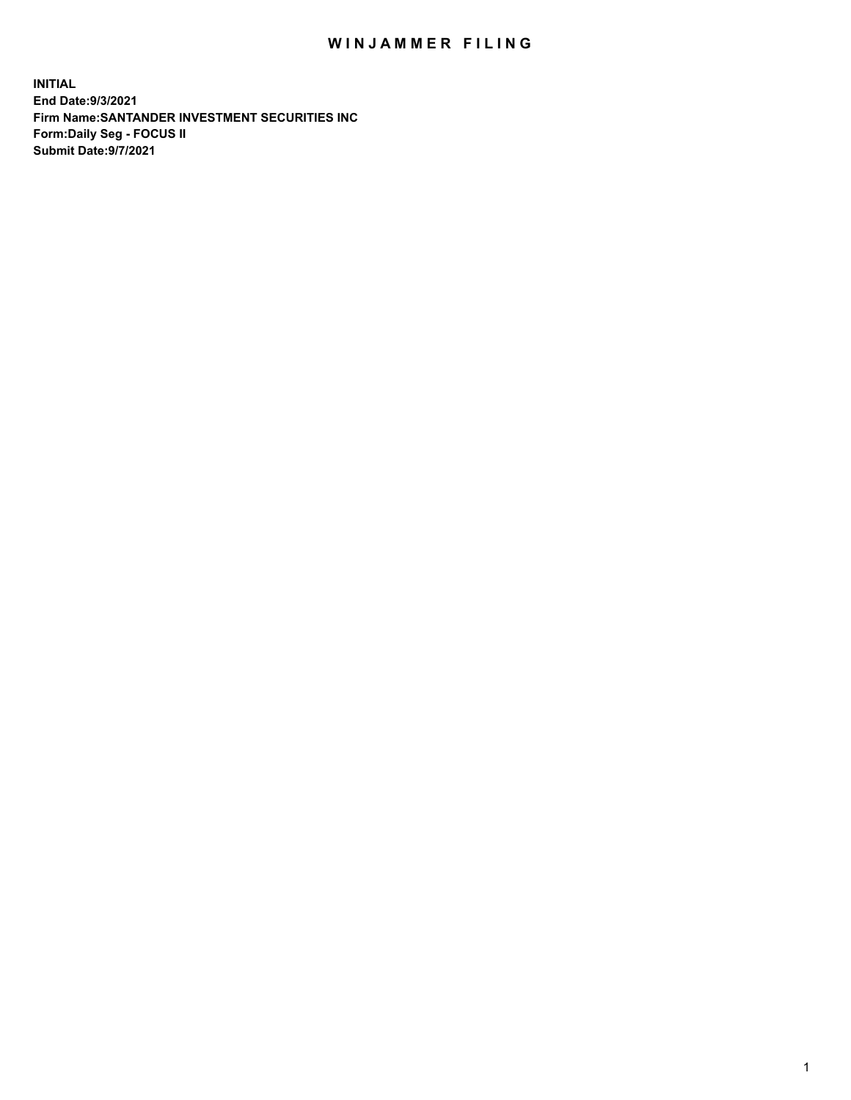## WIN JAMMER FILING

**INITIAL End Date:9/3/2021 Firm Name:SANTANDER INVESTMENT SECURITIES INC Form:Daily Seg - FOCUS II Submit Date:9/7/2021**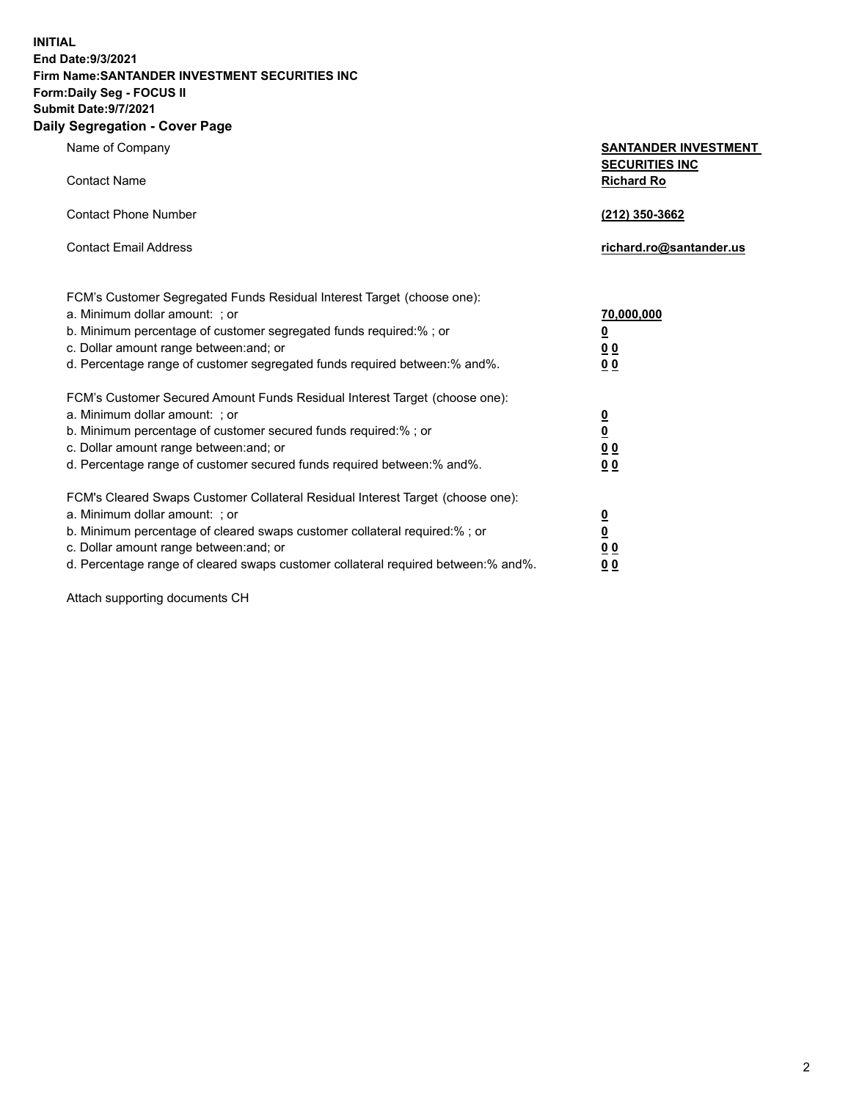**INITIAL End Date:9/3/2021 Firm Name:SANTANDER INVESTMENT SECURITIES INC Form:Daily Seg - FOCUS II Submit Date:9/7/2021 Daily Segregation - Cover Page**

| Name of Company                                                                   | <b>SANTANDER INVESTMENT</b>                |
|-----------------------------------------------------------------------------------|--------------------------------------------|
| <b>Contact Name</b>                                                               | <b>SECURITIES INC</b><br><b>Richard Ro</b> |
| <b>Contact Phone Number</b>                                                       | (212) 350-3662                             |
| <b>Contact Email Address</b>                                                      | richard.ro@santander.us                    |
| FCM's Customer Segregated Funds Residual Interest Target (choose one):            |                                            |
| a. Minimum dollar amount: ; or                                                    | 70,000,000                                 |
| b. Minimum percentage of customer segregated funds required:% ; or                | <u>0</u>                                   |
| c. Dollar amount range between: and; or                                           | 0 <sub>0</sub>                             |
| d. Percentage range of customer segregated funds required between:% and%.         | 0 <sub>0</sub>                             |
| FCM's Customer Secured Amount Funds Residual Interest Target (choose one):        |                                            |
| a. Minimum dollar amount: ; or                                                    | $\frac{\Omega}{\Omega}$                    |
| b. Minimum percentage of customer secured funds required:%; or                    |                                            |
| c. Dollar amount range between: and; or                                           | 0 <sub>0</sub>                             |
| d. Percentage range of customer secured funds required between: % and %.          | 0 <sub>0</sub>                             |
| FCM's Cleared Swaps Customer Collateral Residual Interest Target (choose one):    |                                            |
| a. Minimum dollar amount: ; or                                                    | $\overline{\mathbf{0}}$                    |
| b. Minimum percentage of cleared swaps customer collateral required:% ; or        | $\underline{\mathbf{0}}$                   |
| c. Dollar amount range between: and; or                                           | 0 <sub>0</sub>                             |
| d. Percentage range of cleared swaps customer collateral required between:% and%. | 0 <sub>0</sub>                             |

Attach supporting documents CH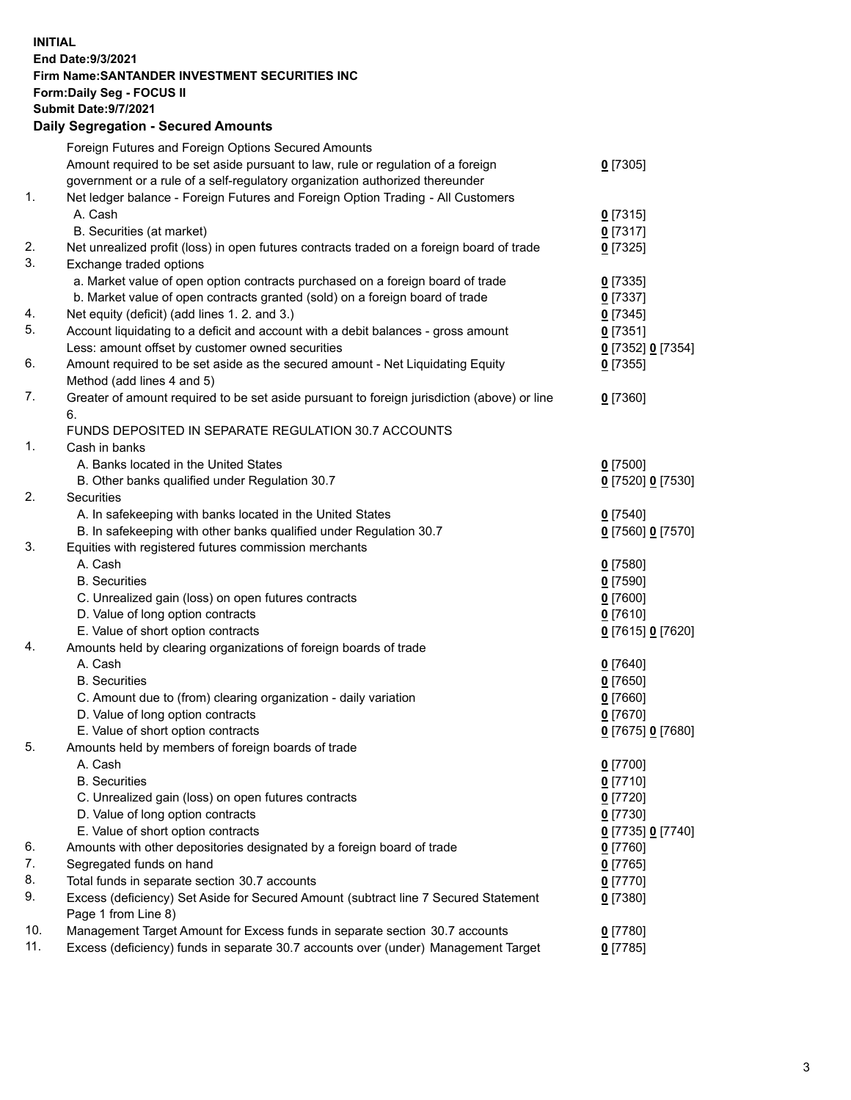## **INITIAL End Date:9/3/2021 Firm Name:SANTANDER INVESTMENT SECURITIES INC Form:Daily Seg - FOCUS II Submit Date:9/7/2021 Daily Segregation - Secured Amounts** Foreign Futures and Foreign Options Secured Amounts Amount required to be set aside pursuant to law, rule or regulation of a foreign government or a rule of a self-regulatory organization authorized thereunder 1. Net ledger balance - Foreign Futures and Foreign Option Trading - All Customers A. Cash **0** [7315]

|     |                                                                                             | ≃ ∟ ∽ ∙ ∽ ј       |
|-----|---------------------------------------------------------------------------------------------|-------------------|
|     | B. Securities (at market)                                                                   | $0$ [7317]        |
| 2.  | Net unrealized profit (loss) in open futures contracts traded on a foreign board of trade   | $0$ [7325]        |
| 3.  | Exchange traded options                                                                     |                   |
|     | a. Market value of open option contracts purchased on a foreign board of trade              | $0$ [7335]        |
|     | b. Market value of open contracts granted (sold) on a foreign board of trade                | $0$ [7337]        |
| 4.  | Net equity (deficit) (add lines 1. 2. and 3.)                                               | $0$ [7345]        |
| 5.  | Account liquidating to a deficit and account with a debit balances - gross amount           | $0$ [7351]        |
|     | Less: amount offset by customer owned securities                                            | 0 [7352] 0 [7354] |
| 6.  | Amount required to be set aside as the secured amount - Net Liquidating Equity              | $0$ [7355]        |
|     | Method (add lines 4 and 5)                                                                  |                   |
| 7.  | Greater of amount required to be set aside pursuant to foreign jurisdiction (above) or line | $0$ [7360]        |
|     | 6.                                                                                          |                   |
|     | FUNDS DEPOSITED IN SEPARATE REGULATION 30.7 ACCOUNTS                                        |                   |
| 1.  | Cash in banks                                                                               |                   |
|     | A. Banks located in the United States                                                       | $0$ [7500]        |
|     | B. Other banks qualified under Regulation 30.7                                              | 0 [7520] 0 [7530] |
| 2.  | Securities                                                                                  |                   |
|     | A. In safekeeping with banks located in the United States                                   | $0$ [7540]        |
|     | B. In safekeeping with other banks qualified under Regulation 30.7                          | 0 [7560] 0 [7570] |
| 3.  | Equities with registered futures commission merchants                                       |                   |
|     | A. Cash                                                                                     | $0$ [7580]        |
|     | <b>B.</b> Securities                                                                        | $0$ [7590]        |
|     | C. Unrealized gain (loss) on open futures contracts                                         | $0$ [7600]        |
|     | D. Value of long option contracts                                                           | $0$ [7610]        |
|     | E. Value of short option contracts                                                          | 0 [7615] 0 [7620] |
| 4.  | Amounts held by clearing organizations of foreign boards of trade                           |                   |
|     | A. Cash                                                                                     | $0$ [7640]        |
|     | <b>B.</b> Securities                                                                        | $0$ [7650]        |
|     | C. Amount due to (from) clearing organization - daily variation                             | $0$ [7660]        |
|     | D. Value of long option contracts                                                           | $0$ [7670]        |
|     | E. Value of short option contracts                                                          | 0 [7675] 0 [7680] |
| 5.  | Amounts held by members of foreign boards of trade                                          |                   |
|     | A. Cash                                                                                     | $0$ [7700]        |
|     | <b>B.</b> Securities                                                                        | $0$ [7710]        |
|     | C. Unrealized gain (loss) on open futures contracts                                         | $0$ [7720]        |
|     | D. Value of long option contracts                                                           | $0$ [7730]        |
|     | E. Value of short option contracts                                                          | 0 [7735] 0 [7740] |
| 6.  | Amounts with other depositories designated by a foreign board of trade                      | $0$ [7760]        |
| 7.  | Segregated funds on hand                                                                    | $0$ [7765]        |
| 8.  | Total funds in separate section 30.7 accounts                                               | $0$ [7770]        |
| 9.  | Excess (deficiency) Set Aside for Secured Amount (subtract line 7 Secured Statement         | $0$ [7380]        |
|     | Page 1 from Line 8)                                                                         |                   |
| 10. | Management Target Amount for Excess funds in separate section 30.7 accounts                 | $0$ [7780]        |
| 11. | Excess (deficiency) funds in separate 30.7 accounts over (under) Management Target          | $0$ [7785]        |

**0** [7305]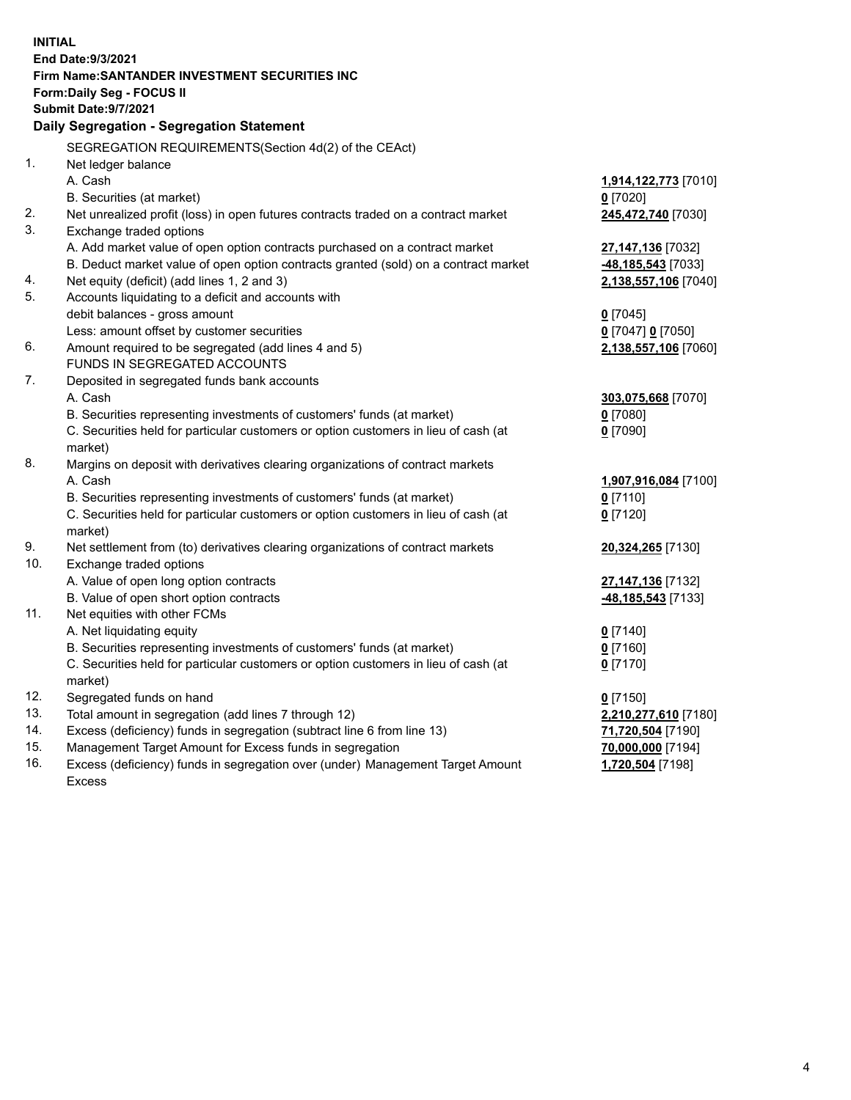| <b>INITIAL</b> |                                                                                            |                      |  |  |  |  |
|----------------|--------------------------------------------------------------------------------------------|----------------------|--|--|--|--|
|                | End Date: 9/3/2021                                                                         |                      |  |  |  |  |
|                | Firm Name: SANTANDER INVESTMENT SECURITIES INC                                             |                      |  |  |  |  |
|                | <b>Form:Daily Seg - FOCUS II</b>                                                           |                      |  |  |  |  |
|                | <b>Submit Date: 9/7/2021</b>                                                               |                      |  |  |  |  |
|                | Daily Segregation - Segregation Statement                                                  |                      |  |  |  |  |
|                | SEGREGATION REQUIREMENTS(Section 4d(2) of the CEAct)                                       |                      |  |  |  |  |
| 1.             | Net ledger balance                                                                         |                      |  |  |  |  |
|                | A. Cash                                                                                    | 1,914,122,773 [7010] |  |  |  |  |
|                | B. Securities (at market)                                                                  | $0$ [7020]           |  |  |  |  |
| 2.             | Net unrealized profit (loss) in open futures contracts traded on a contract market         | 245,472,740 [7030]   |  |  |  |  |
| 3.             | Exchange traded options                                                                    |                      |  |  |  |  |
|                | A. Add market value of open option contracts purchased on a contract market                | 27,147,136 [7032]    |  |  |  |  |
|                | B. Deduct market value of open option contracts granted (sold) on a contract market        | -48,185,543 [7033]   |  |  |  |  |
| 4.             | Net equity (deficit) (add lines 1, 2 and 3)                                                | 2,138,557,106 [7040] |  |  |  |  |
| 5.             | Accounts liquidating to a deficit and accounts with                                        |                      |  |  |  |  |
|                | debit balances - gross amount                                                              | $0$ [7045]           |  |  |  |  |
|                | Less: amount offset by customer securities                                                 | 0 [7047] 0 [7050]    |  |  |  |  |
| 6.             | Amount required to be segregated (add lines 4 and 5)                                       | 2,138,557,106 [7060] |  |  |  |  |
|                | FUNDS IN SEGREGATED ACCOUNTS                                                               |                      |  |  |  |  |
| 7.             | Deposited in segregated funds bank accounts                                                |                      |  |  |  |  |
|                | A. Cash                                                                                    | 303,075,668 [7070]   |  |  |  |  |
|                | B. Securities representing investments of customers' funds (at market)                     | $0$ [7080]           |  |  |  |  |
|                | C. Securities held for particular customers or option customers in lieu of cash (at        | $0$ [7090]           |  |  |  |  |
|                | market)                                                                                    |                      |  |  |  |  |
| 8.             | Margins on deposit with derivatives clearing organizations of contract markets             |                      |  |  |  |  |
|                | A. Cash                                                                                    | 1,907,916,084 [7100] |  |  |  |  |
|                | B. Securities representing investments of customers' funds (at market)                     | $0$ [7110]           |  |  |  |  |
|                | C. Securities held for particular customers or option customers in lieu of cash (at        | $0$ [7120]           |  |  |  |  |
| 9.             | market)<br>Net settlement from (to) derivatives clearing organizations of contract markets | 20,324,265 [7130]    |  |  |  |  |
| 10.            | Exchange traded options                                                                    |                      |  |  |  |  |
|                | A. Value of open long option contracts                                                     | 27,147,136 [7132]    |  |  |  |  |
|                | B. Value of open short option contracts                                                    | -48,185,543 [7133]   |  |  |  |  |
| 11.            | Net equities with other FCMs                                                               |                      |  |  |  |  |
|                | A. Net liquidating equity                                                                  | $0$ [7140]           |  |  |  |  |
|                | B. Securities representing investments of customers' funds (at market)                     | $0$ [7160]           |  |  |  |  |
|                | C. Securities held for particular customers or option customers in lieu of cash (at        | $0$ [7170]           |  |  |  |  |
|                | market)                                                                                    |                      |  |  |  |  |
| 12.            | Segregated funds on hand                                                                   | $0$ [7150]           |  |  |  |  |
| 13.            | Total amount in segregation (add lines 7 through 12)                                       | 2,210,277,610 [7180] |  |  |  |  |
| 14.            | Excess (deficiency) funds in segregation (subtract line 6 from line 13)                    | 71,720,504 [7190]    |  |  |  |  |
| 15.            | Management Target Amount for Excess funds in segregation                                   | 70,000,000 [7194]    |  |  |  |  |
| 16.            | Excess (deficiency) funds in segregation over (under) Management Target Amount             | 1,720,504 [7198]     |  |  |  |  |
|                | <b>Excess</b>                                                                              |                      |  |  |  |  |